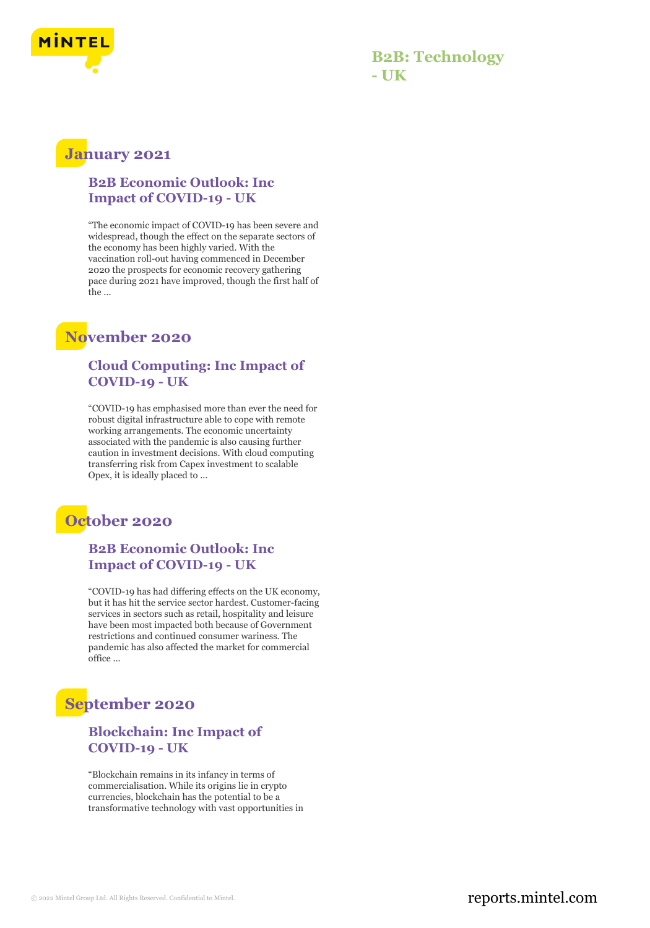

# **B2B: Technology - UK**

# **January 2021**

#### **B2B Economic Outlook: Inc Impact of COVID-19 - UK**

"The economic impact of COVID-19 has been severe and widespread, though the effect on the separate sectors of the economy has been highly varied. With the vaccination roll-out having commenced in December 2020 the prospects for economic recovery gathering pace during 2021 have improved, though the first half of the ...

# **November 2020**

#### **Cloud Computing: Inc Impact of COVID-19 - UK**

"COVID-19 has emphasised more than ever the need for robust digital infrastructure able to cope with remote working arrangements. The economic uncertainty associated with the pandemic is also causing further caution in investment decisions. With cloud computing transferring risk from Capex investment to scalable Opex, it is ideally placed to ...

# **October 2020**

### **B2B Economic Outlook: Inc Impact of COVID-19 - UK**

"COVID-19 has had differing effects on the UK economy, but it has hit the service sector hardest. Customer-facing services in sectors such as retail, hospitality and leisure have been most impacted both because of Government restrictions and continued consumer wariness. The pandemic has also affected the market for commercial office ...

# **September 2020**

#### **Blockchain: Inc Impact of COVID-19 - UK**

"Blockchain remains in its infancy in terms of commercialisation. While its origins lie in crypto currencies, blockchain has the potential to be a transformative technology with vast opportunities in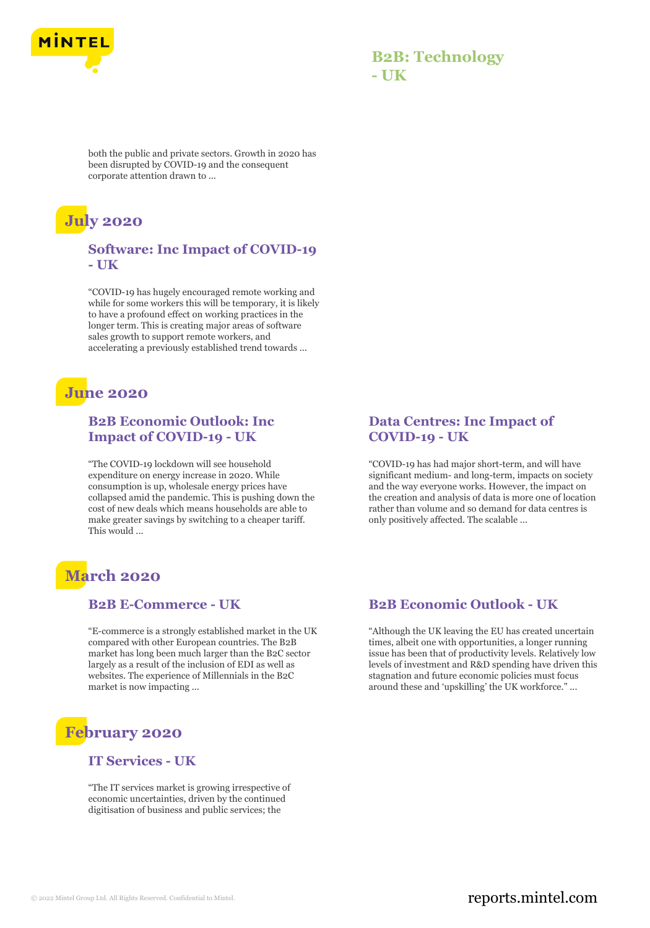

## **B2B: Technology - UK**

both the public and private sectors. Growth in 2020 has been disrupted by COVID-19 and the consequent corporate attention drawn to ...

# **July 2020**

#### **Software: Inc Impact of COVID-19 - UK**

"COVID-19 has hugely encouraged remote working and while for some workers this will be temporary, it is likely to have a profound effect on working practices in the longer term. This is creating major areas of software sales growth to support remote workers, and accelerating a previously established trend towards ...

## **June 2020**

### **B2B Economic Outlook: Inc Impact of COVID-19 - UK**

"The COVID-19 lockdown will see household expenditure on energy increase in 2020. While consumption is up, wholesale energy prices have collapsed amid the pandemic. This is pushing down the cost of new deals which means households are able to make greater savings by switching to a cheaper tariff. This would ...

# **March 2020**

#### **B2B E-Commerce - UK**

"E-commerce is a strongly established market in the UK compared with other European countries. The B2B market has long been much larger than the B2C sector largely as a result of the inclusion of EDI as well as websites. The experience of Millennials in the B2C market is now impacting ...

# **February 2020**

#### **IT Services - UK**

"The IT services market is growing irrespective of economic uncertainties, driven by the continued digitisation of business and public services; the

### **Data Centres: Inc Impact of COVID-19 - UK**

"COVID-19 has had major short-term, and will have significant medium- and long-term, impacts on society and the way everyone works. However, the impact on the creation and analysis of data is more one of location rather than volume and so demand for data centres is only positively affected. The scalable ...

### **B2B Economic Outlook - UK**

"Although the UK leaving the EU has created uncertain times, albeit one with opportunities, a longer running issue has been that of productivity levels. Relatively low levels of investment and R&D spending have driven this stagnation and future economic policies must focus around these and 'upskilling' the UK workforce." ...